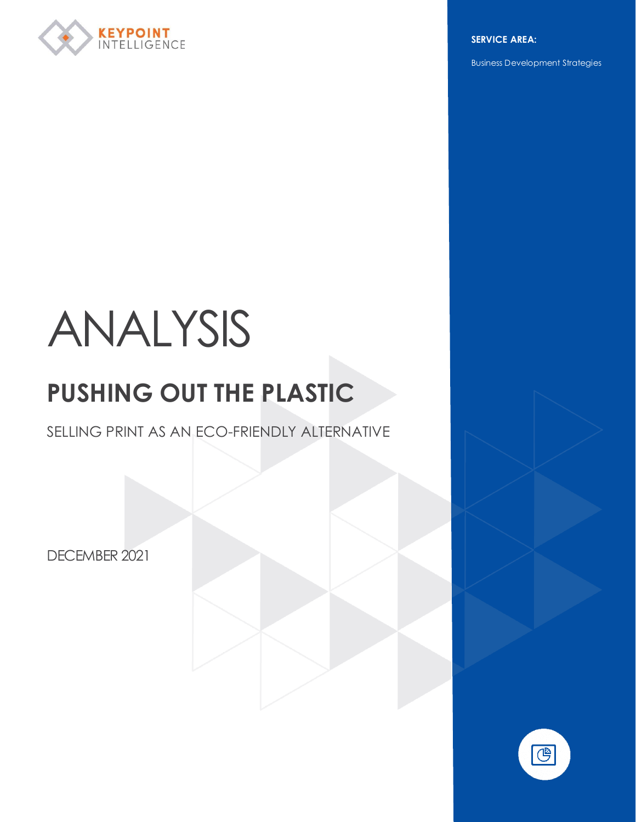

**SERVICE AREA:**

Business Development Strategies

### ANALYSIS

#### **PUSHING OUT THE PLASTIC**

SELLING PRINT AS AN ECO-FRIENDLY ALTERNATIVE

DECEMBER 2021

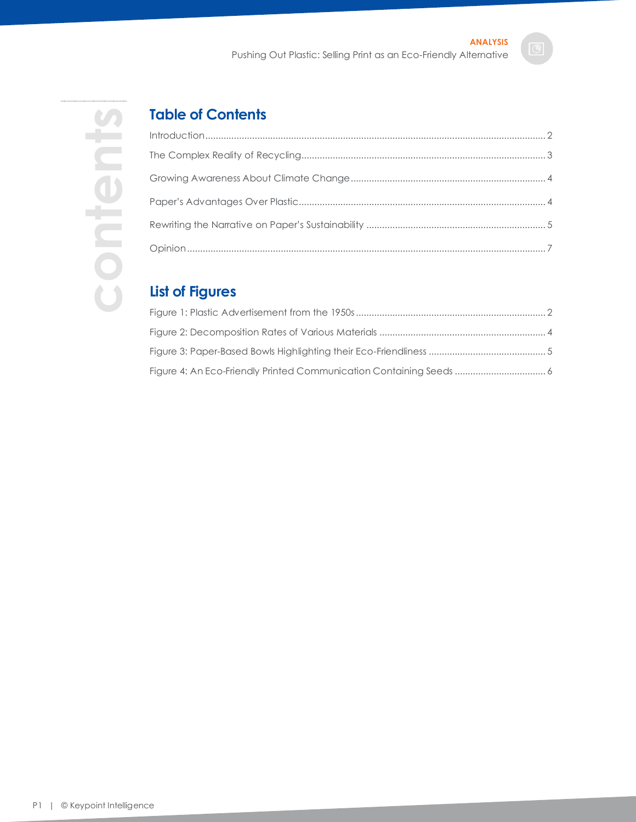## **contents**content

#### **Table of Contents**

#### **List of Figures**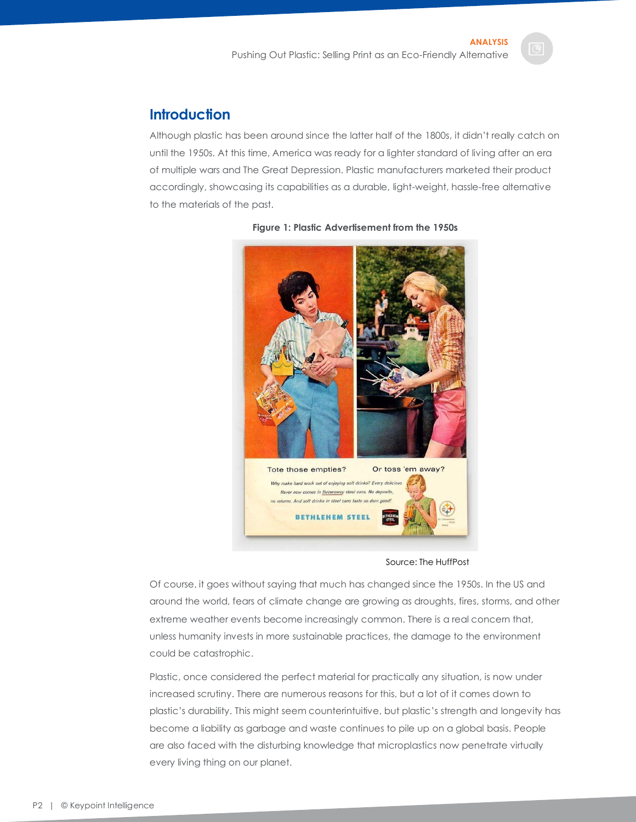#### <span id="page-2-0"></span>**Introduction**

Although plastic has been around since the latter half of the 1800s, it didn't really catch on until the 1950s. At this time, America was ready for a lighter standard of living after an era of multiple wars and The Great Depression. Plastic manufacturers marketed their product accordingly, showcasing its capabilities as a durable, light-weight, hassle-free alternative to the materials of the past.

<span id="page-2-1"></span>

#### **Figure 1: Plastic Advertisement from the 1950s**

#### Source: The HuffPost

Of course, it goes without saying that much has changed since the 1950s. In the US and around the world, fears of climate change are growing as droughts, fires, storms, and other extreme weather events become increasingly common. There is a real concern that, unless humanity invests in more sustainable practices, the damage to the environment could be catastrophic.

Plastic, once considered the perfect material for practically any situation, is now under increased scrutiny. There are numerous reasons for this, but a lot of it comes down to plastic's durability. This might seem counterintuitive, but plastic's strength and longevity has become a liability as garbage and waste continues to pile up on a global basis. People are also faced with the disturbing knowledge that microplastics now penetrate virtually every living thing on our planet.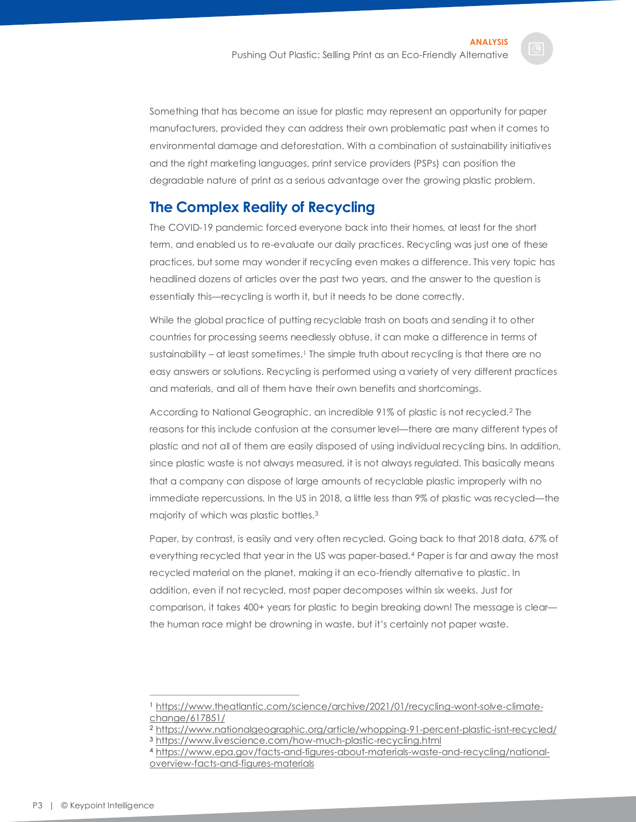Something that has become an issue for plastic may represent an opportunity for paper manufacturers, provided they can address their own problematic past when it comes to environmental damage and deforestation. With a combination of sustainability initiatives and the right marketing languages, print service providers (PSPs) can position the degradable nature of print as a serious advantage over the growing plastic problem.

#### <span id="page-3-0"></span>**The Complex Reality of Recycling**

The COVID-19 pandemic forced everyone back into their homes, at least for the short term, and enabled us to re-evaluate our daily practices. Recycling was just one of these practices, but some may wonder if recycling even makes a difference. This very topic has headlined dozens of articles over the past two years, and the answer to the question is essentially this—recycling is worth it, but it needs to be done correctly.

While the global practice of putting recyclable trash on boats and sending it to other countries for processing seems needlessly obtuse, it can make a difference in terms of sustainability – at least sometimes.<sup>1</sup> The simple truth about recycling is that there are no easy answers or solutions. Recycling is performed using a variety of very different practices and materials, and all of them have their own benefits and shortcomings.

According to National Geographic, an incredible 91% of plastic is not recycled.<sup>2</sup> The reasons for this include confusion at the consumer level—there are many different types of plastic and not all of them are easily disposed of using individual recycling bins. In addition, since plastic waste is not always measured, it is not always regulated. This basically means that a company can dispose of large amounts of recyclable plastic improperly with no immediate repercussions. In the US in 2018, a little less than 9% of plastic was recycled—the majority of which was plastic bottles.<sup>3</sup>

Paper, by contrast, is easily and very often recycled. Going back to that 2018 data, 67% of everything recycled that year in the US was paper-based.<sup>4</sup> Paper is far and away the most recycled material on the planet, making it an eco-friendly alternative to plastic. In addition, even if not recycled, most paper decomposes within six weeks. Just for comparison, it takes 400+ years for plastic to begin breaking down! The message is clear the human race might be drowning in waste, but it's certainly not paper waste.

<sup>1</sup> [https://www.theatlantic.com/science/archive/2021/01/recycling-wont-solve-climate](https://www.theatlantic.com/science/archive/2021/01/recycling-wont-solve-climate-change/617851/)[change/617851/](https://www.theatlantic.com/science/archive/2021/01/recycling-wont-solve-climate-change/617851/)

<sup>2</sup> <https://www.nationalgeographic.org/article/whopping-91-percent-plastic-isnt-recycled/>

<sup>3</sup> <https://www.livescience.com/how-much-plastic-recycling.html>

<sup>4</sup> [https://www.epa.gov/facts-and-figures-about-materials-waste-and-recycling/national](https://www.epa.gov/facts-and-figures-about-materials-waste-and-recycling/national-overview-facts-and-figures-materials)[overview-facts-and-figures-materials](https://www.epa.gov/facts-and-figures-about-materials-waste-and-recycling/national-overview-facts-and-figures-materials)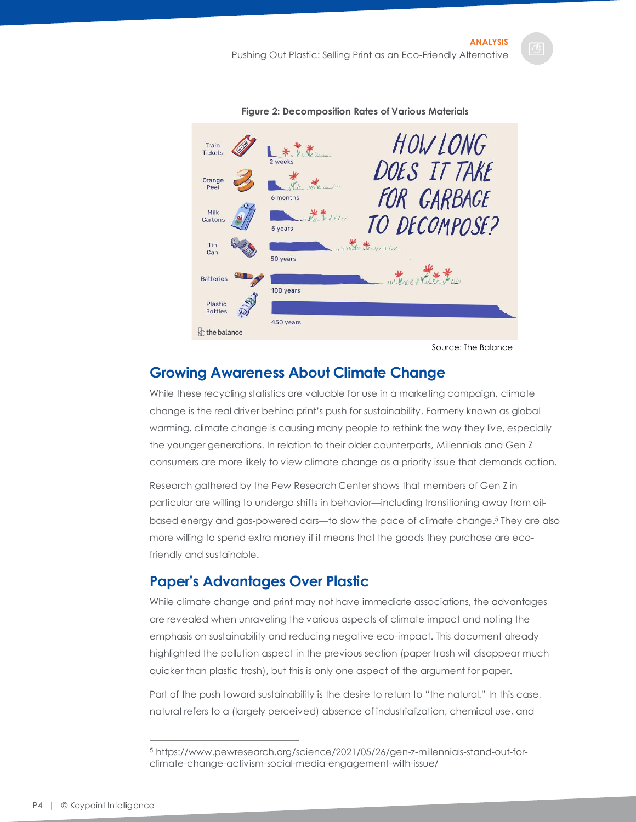<span id="page-4-2"></span>

**Figure 2: Decomposition Rates of Various Materials**

Source: The Balance

#### <span id="page-4-0"></span>**Growing Awareness About Climate Change**

While these recycling statistics are valuable for use in a marketing campaign, climate change is the real driver behind print's push for sustainability. Formerly known as global warming, climate change is causing many people to rethink the way they live, especially the younger generations. In relation to their older counterparts, Millennials and Gen Z consumers are more likely to view climate change as a priority issue that demands action.

Research gathered by the Pew Research Center shows that members of Gen Z in particular are willing to undergo shifts in behavior—including transitioning away from oilbased energy and gas-powered cars—to slow the pace of climate change. <sup>5</sup> They are also more willing to spend extra money if it means that the goods they purchase are ecofriendly and sustainable.

#### <span id="page-4-1"></span>**Paper's Advantages Over Plastic**

While climate change and print may not have immediate associations, the advantages are revealed when unraveling the various aspects of climate impact and noting the emphasis on sustainability and reducing negative eco-impact. This document already highlighted the pollution aspect in the previous section (paper trash will disappear much quicker than plastic trash), but this is only one aspect of the argument for paper.

Part of the push toward sustainability is the desire to return to "the natural." In this case, natural refers to a (largely perceived) absence of industrialization, chemical use, and

<sup>5</sup> [https://www.pewresearch.org/science/2021/05/26/gen-z-millennials-stand-out-for](https://www.pewresearch.org/science/2021/05/26/gen-z-millennials-stand-out-for-climate-change-activism-social-media-engagement-with-issue/)[climate-change-activism-social-media-engagement-with-issue/](https://www.pewresearch.org/science/2021/05/26/gen-z-millennials-stand-out-for-climate-change-activism-social-media-engagement-with-issue/)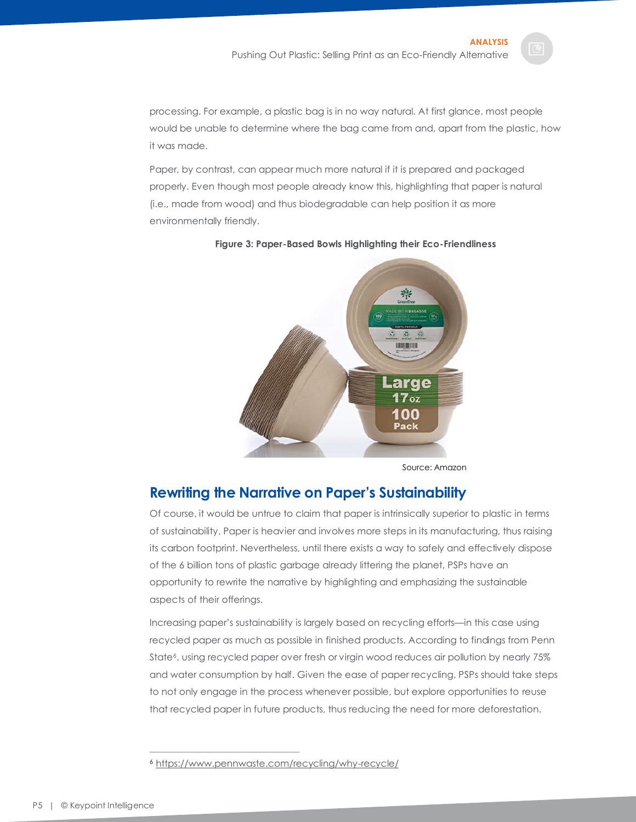processing. For example, a plastic bag is in no way natural. At first glance, most people would be unable to determine where the bag came from and, apart from the plastic, how it was made.

Paper, by contrast, can appear much more natural if it is prepared and packaged properly. Even though most people already know this, highlighting that paper is natural (i.e., made from wood) and thus biodegradable can help position it as more environmentally friendly.



#### <span id="page-5-1"></span>**Figure 3: Paper-Based Bowls Highlighting their Eco-Friendliness**

#### <span id="page-5-0"></span>**Rewriting the Narrative on Paper's Sustainability**

Of course, it would be untrue to claim that paper is intrinsically superior to plastic in terms of sustainability. Paper is heavier and involves more steps in its manufacturing, thus raising its carbon footprint. Nevertheless, until there exists a way to safely and effectively dispose of the 6 billion tons of plastic garbage already littering the planet, PSPs have an opportunity to rewrite the narrative by highlighting and emphasizing the sustainable aspects of their offerings.

Increasing paper's sustainability is largely based on recycling efforts—in this case using recycled paper as much as possible in finished products. According to findings from Penn State<sup>6</sup>, using recycled paper over fresh or virgin wood reduces air pollution by nearly 75% and water consumption by half. Given the ease of paper recycling, PSPs should take steps to not only engage in the process whenever possible, but explore opportunities to reuse that recycled paper in future products, thus reducing the need for more deforestation.

Source: Amazon

<sup>6</sup> <https://www.pennwaste.com/recycling/why-recycle/>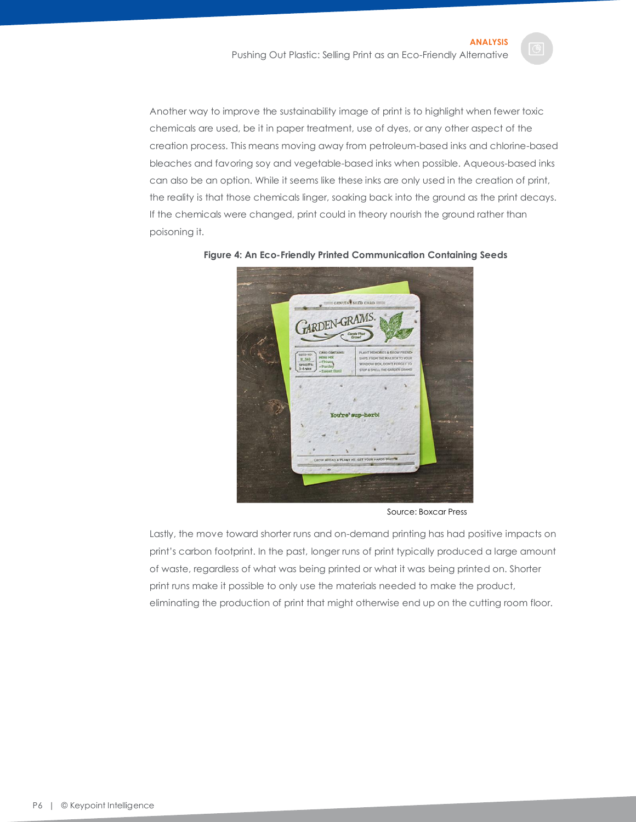Another way to improve the sustainability image of print is to highlight when fewer toxic chemicals are used, be it in paper treatment, use of dyes, or any other aspect of the creation process. This means moving away from petroleum-based inks and chlorine-based bleaches and favoring soy and vegetable-based inks when possible. Aqueous-based inks can also be an option. While it seems like these inks are only used in the creation of print, the reality is that those chemicals linger, soaking back into the ground as the print decays. If the chemicals were changed, print could in theory nourish the ground rather than poisoning it.

<span id="page-6-0"></span>

**Figure 4: An Eco-Friendly Printed Communication Containing Seeds**

Source: Boxcar Press

Lastly, the move toward shorter runs and on-demand printing has had positive impacts on print's carbon footprint. In the past, longer runs of print typically produced a large amount of waste, regardless of what was being printed or what it was being printed on. Shorter print runs make it possible to only use the materials needed to make the product, eliminating the production of print that might otherwise end up on the cutting room floor.

P6 | © Keypoint Intelligence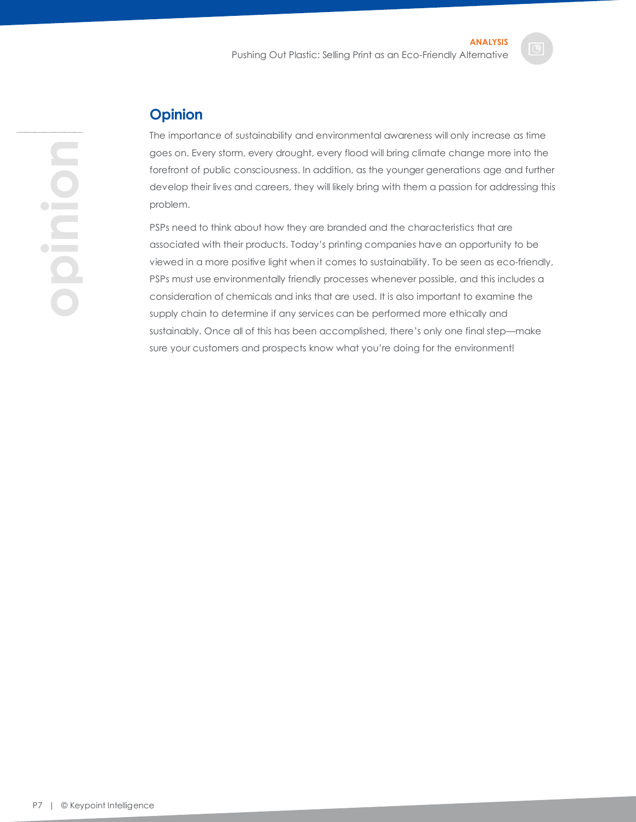#### <span id="page-7-0"></span>**Opinion**

The importance of sustainability and environmental awareness will only increase as time goes on. Every storm, every drought, every flood will bring climate change more into the forefront of public consciousness. In addition, as the younger generations age and further develop their lives and careers, they will likely bring with them a passion for addressing this problem.

PSPs need to think about how they are branded and the characteristics that are associated with their products. Today's printing companies have an opportunity to be viewed in a more positive light when it comes to sustainability. To be seen as eco-friendly, PSPs must use environmentally friendly processes whenever possible, and this includes a consideration of chemicals and inks that are used. It is also important to examine the supply chain to determine if any services can be performed more ethically and sustainably. Once all of this has been accomplished, there's only one final step—make sure your customers and prospects know what you're doing for the environment!

# **opinion**